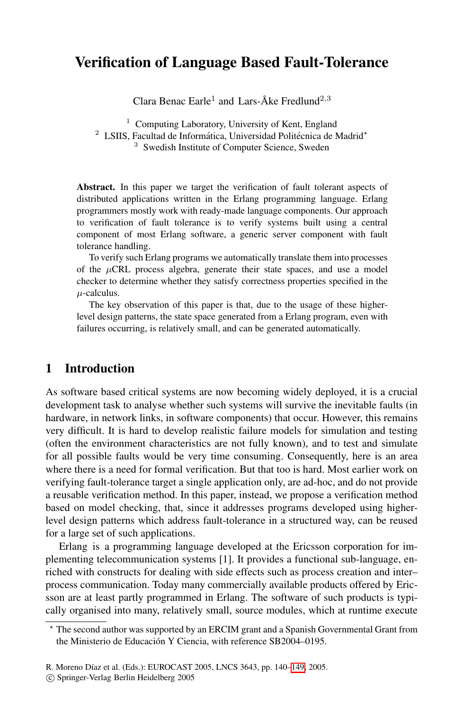# **Verification of Language Based Fault-Tolerance**

Clara Benac Earle<sup>1</sup> and Lars-Åke Fredlund<sup>2,3</sup>

 $1$  Computing Laboratory, University of Kent, England  $2$  LSIIS, Facultad de Informática, Universidad Politécnica de Madrid\* <sup>3</sup> Swedish Institute of Computer Science, Sweden

**Abstract.** In this paper we target the verification of fault tolerant aspects of distributed applications written in the Erlang programming language. Erlang programmers mostly work with ready-made language components. Our approach to verification of fault tolerance is to verify systems built using a central component of most Erlang software, a generic server component with fault tolerance handling.

To verify such Erlang programs we automatically translate them into processes of the  $\mu$ CRL process algebra, generate their state spaces, and use a model checker to determine whether they satisfy correctness properties specified in the  $\mu$ -calculus.

The key observation of this paper is that, due to the usage of these higherlevel design patterns, the state space generated from a Erlang program, even with failures occurring, is relatively small, and can be generated automatically.

# **1 Introduction**

As software based critical systems are now becoming widely deployed, it is a crucial development task to analyse whether such systems will survive the inevitable faults (in hardware, in network links, in software components) that occur. However, this remains very difficult. It is hard to develop realistic failure models for simulation and testing (often the environment characteristics are not fully known), and to test and simulate for all possible faults would be very time consuming. Consequently, here is an area where there is a need for formal verification. But that too is hard. Most earlier work on verifying fault-tolerance target a single application only, are ad-hoc, and do not provide a reusable verification method. In this paper, instead, we propose a verification method based on model checking, that, since it addresses programs developed using higherlevel design patterns which address fault-tolerance in a structured way, can be reused for a large set of such applications.

Erlang is a programming language developed at the Ericsson corporation for implementing telecommunication systems [1]. It provides a functional sub-language, enriched with constructs for dealing with side effects such as process creation and inter– process communication. Today many commercially available products offered by Ericsson are at least partly programmed in Erlang. The software of such products is typically organised into many, relatively small, source modules, which at runtime execute

The second author was supported by an ERCIM grant and a Spanish Governmental Grant from the Ministerio de Educación Y Ciencia, with reference SB2004-0195.

c Springer-Verlag Berlin Heidelberg 2005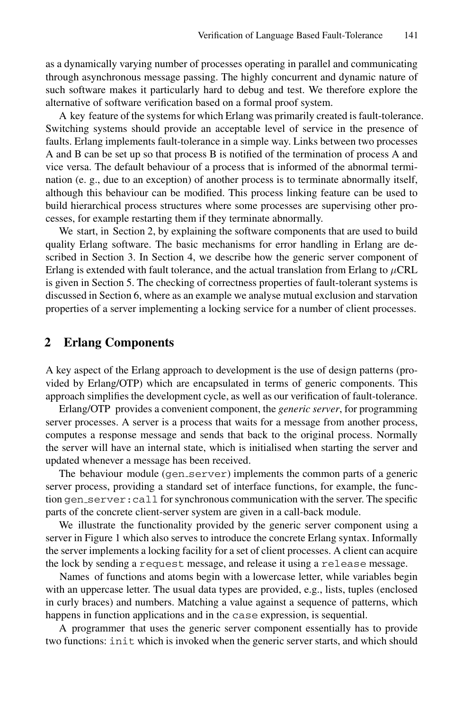as a dynamically varying number of processes operating in parallel and communicating through asynchronous message passing. The highly concurrent and dynamic nature of such software makes it particularly hard to debug and test. We therefore explore the alternative of software verification based on a formal proof system.

A key feature of the systems for which Erlang was primarily created is fault-tolerance. Switching systems should provide an acceptable level of service in the presence of faults. Erlang implements fault-tolerance in a simple way. Links between two processes A and B can be set up so that process B is notified of the termination of process A and vice versa. The default behaviour of a process that is informed of the abnormal termination (e. g., due to an exception) of another process is to terminate abnormally itself, although this behaviour can be modified. This process linking feature can be used to build hierarchical process structures where some processes are supervising other processes, for example restarting them if they terminate abnormally.

We start, in Section 2, by explaining the software components that are used to build quality Erlang software. The basic mechanisms for error handling in Erlang are described in Section 3. In Section 4, we describe how the generic server component of Erlang is extended with fault tolerance, and the actual translation from Erlang to  $\mu$ CRL is given in Section 5. The checking of correctness properties of fault-tolerant systems is discussed in Section 6, where as an example we analyse mutual exclusion and starvation properties of a server implementing a locking service for a number of client processes.

#### **2 Erlang Components**

A key aspect of the Erlang approach to development is the use of design patterns (provided by Erlang/OTP) which are encapsulated in terms of generic components. This approach simplifies the development cycle, as well as our verification of fault-tolerance.

Erlang/OTP provides a convenient component, the *generic server*, for programming server processes. A server is a process that waits for a message from another process, computes a response message and sends that back to the original process. Normally the server will have an internal state, which is initialised when starting the server and updated whenever a message has been received.

The behaviour module (gen\_server) implements the common parts of a generic server process, providing a standard set of interface functions, for example, the function gen server:call for synchronous communication with the server. The specific parts of the concrete client-server system are given in a call-back module.

We illustrate the functionality provided by the generic server component using a server in Figure 1 which also serves to introduce the concrete Erlang syntax. Informally the server implements a locking facility for a set of client processes. A client can acquire the lock by sending a request message, and release it using a release message.

Names of functions and atoms begin with a lowercase letter, while variables begin with an uppercase letter. The usual data types are provided, e.g., lists, tuples (enclosed in curly braces) and numbers. Matching a value against a sequence of patterns, which happens in function applications and in the case expression, is sequential.

A programmer that uses the generic server component essentially has to provide two functions: init which is invoked when the generic server starts, and which should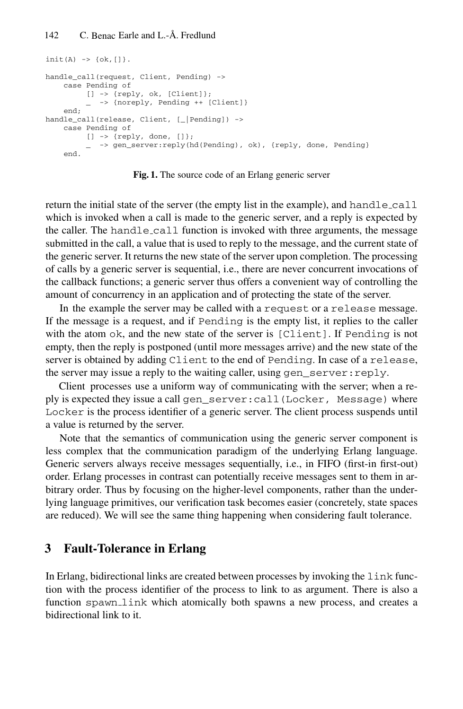#### 142 C. Benac Earle and L.-Å. Fredlund

```
init(A) -> \{ok, []\}.
handle_call(request, Client, Pending) ->
   case Pending of
         [ ] \rightarrow { \text{reply, ok, [Client] } }_ -> {noreply, Pending ++ [Client]}
    end;
handle_call(release, Client, [_|Pending]) ->
   case Pending of
         [] -> {reply, done, [] };
         _ -> gen_server:reply(hd(Pending), ok), {reply, done, Pending}
    end.
```
**Fig. 1.** The source code of an Erlang generic server

return the initial state of the server (the empty list in the example), and handle call which is invoked when a call is made to the generic server, and a reply is expected by the caller. The handle  $\text{call function}$  is invoked with three arguments, the message submitted in the call, a value that is used to reply to the message, and the current state of the generic server. It returns the new state of the server upon completion. The processing of calls by a generic server is sequential, i.e., there are never concurrent invocations of the callback functions; a generic server thus offers a convenient way of controlling the amount of concurrency in an application and of protecting the state of the server.

In the example the server may be called with a request or a release message. If the message is a request, and if Pending is the empty list, it replies to the caller with the atom ok, and the new state of the server is [Client]. If Pending is not empty, then the reply is postponed (until more messages arrive) and the new state of the server is obtained by adding Client to the end of Pending. In case of a release, the server may issue a reply to the waiting caller, using gen\_server:reply.

Client processes use a uniform way of communicating with the server; when a reply is expected they issue a call gen\_server:call(Locker, Message) where Locker is the process identifier of a generic server. The client process suspends until a value is returned by the server.

Note that the semantics of communication using the generic server component is less complex that the communication paradigm of the underlying Erlang language. Generic servers always receive messages sequentially, i.e., in FIFO (first-in first-out) order. Erlang processes in contrast can potentially receive messages sent to them in arbitrary order. Thus by focusing on the higher-level components, rather than the underlying language primitives, our verification task becomes easier (concretely, state spaces are reduced). We will see the same thing happening when considering fault tolerance.

# **3 Fault-Tolerance in Erlang**

In Erlang, bidirectional links are created between processes by invoking the link function with the process identifier of the process to link to as argument. There is also a function spawn link which atomically both spawns a new process, and creates a bidirectional link to it.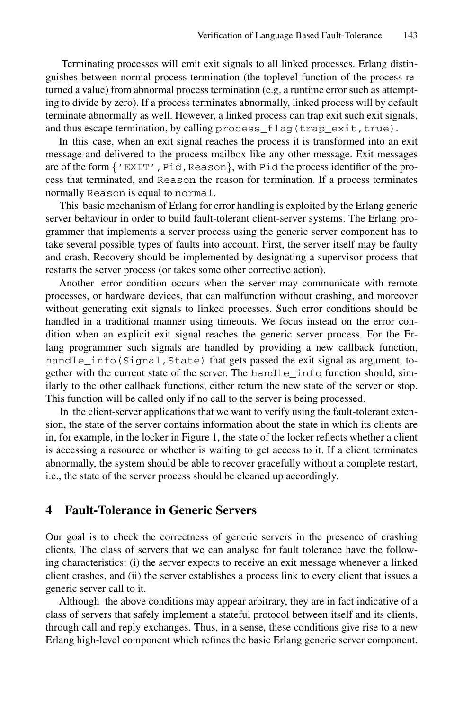Terminating processes will emit exit signals to all linked processes. Erlang distinguishes between normal process termination (the toplevel function of the process returned a value) from abnormal process termination (e.g. a runtime error such as attempting to divide by zero). If a process terminates abnormally, linked process will by default terminate abnormally as well. However, a linked process can trap exit such exit signals, and thus escape termination, by calling process\_flag(trap\_exit,true).

In this case, when an exit signal reaches the process it is transformed into an exit message and delivered to the process mailbox like any other message. Exit messages are of the form {'EXIT', Pid, Reason}, with Pid the process identifier of the process that terminated, and Reason the reason for termination. If a process terminates normally Reason is equal to normal.

This basic mechanism of Erlang for error handling is exploited by the Erlang generic server behaviour in order to build fault-tolerant client-server systems. The Erlang programmer that implements a server process using the generic server component has to take several possible types of faults into account. First, the server itself may be faulty and crash. Recovery should be implemented by designating a supervisor process that restarts the server process (or takes some other corrective action).

Another error condition occurs when the server may communicate with remote processes, or hardware devices, that can malfunction without crashing, and moreover without generating exit signals to linked processes. Such error conditions should be handled in a traditional manner using timeouts. We focus instead on the error condition when an explicit exit signal reaches the generic server process. For the Erlang programmer such signals are handled by providing a new callback function, handle\_info(Signal, State) that gets passed the exit signal as argument, together with the current state of the server. The handle\_info function should, similarly to the other callback functions, either return the new state of the server or stop. This function will be called only if no call to the server is being processed.

In the client-server applications that we want to verify using the fault-tolerant extension, the state of the server contains information about the state in which its clients are in, for example, in the locker in Figure 1, the state of the locker reflects whether a client is accessing a resource or whether is waiting to get access to it. If a client terminates abnormally, the system should be able to recover gracefully without a complete restart, i.e., the state of the server process should be cleaned up accordingly.

### **4 Fault-Tolerance in Generic Servers**

Our goal is to check the correctness of generic servers in the presence of crashing clients. The class of servers that we can analyse for fault tolerance have the following characteristics: (i) the server expects to receive an exit message whenever a linked client crashes, and (ii) the server establishes a process link to every client that issues a generic server call to it.

Although the above conditions may appear arbitrary, they are in fact indicative of a class of servers that safely implement a stateful protocol between itself and its clients, through call and reply exchanges. Thus, in a sense, these conditions give rise to a new Erlang high-level component which refines the basic Erlang generic server component.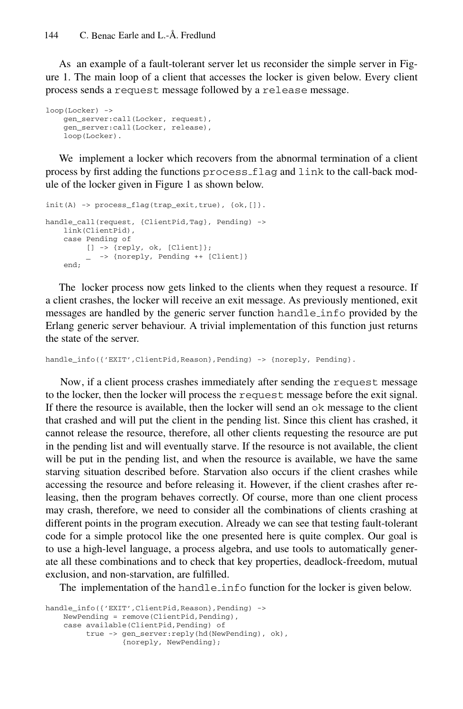As an example of a fault-tolerant server let us reconsider the simple server in Figure 1. The main loop of a client that accesses the locker is given below. Every client process sends a request message followed by a release message.

```
loop(Locker) ->
   gen_server:call(Locker, request),
    gen_server:call(Locker, release),
    loop(Locker).
```
We implement a locker which recovers from the abnormal termination of a client process by first adding the functions process flag and link to the call-back module of the locker given in Figure 1 as shown below.

```
init(A) -> process_flag(trap_exit,true), {ok, [] }.
handle_call(request, {ClientPid,Tag}, Pending) ->
   link(ClientPid),
   case Pending of
        [] -> {reply, ok, [Client]};
        _ -> {noreply, Pending ++ [Client]}
    end;
```
The locker process now gets linked to the clients when they request a resource. If a client crashes, the locker will receive an exit message. As previously mentioned, exit messages are handled by the generic server function handle info provided by the Erlang generic server behaviour. A trivial implementation of this function just returns the state of the server.

handle\_info({'EXIT',ClientPid,Reason},Pending) -> {noreply, Pending}.

Now, if a client process crashes immediately after sending the request message to the locker, then the locker will process the request message before the exit signal. If there the resource is available, then the locker will send an  $\circ$ k message to the client that crashed and will put the client in the pending list. Since this client has crashed, it cannot release the resource, therefore, all other clients requesting the resource are put in the pending list and will eventually starve. If the resource is not available, the client will be put in the pending list, and when the resource is available, we have the same starving situation described before. Starvation also occurs if the client crashes while accessing the resource and before releasing it. However, if the client crashes after releasing, then the program behaves correctly. Of course, more than one client process may crash, therefore, we need to consider all the combinations of clients crashing at different points in the program execution. Already we can see that testing fault-tolerant code for a simple protocol like the one presented here is quite complex. Our goal is to use a high-level language, a process algebra, and use tools to automatically generate all these combinations and to check that key properties, deadlock-freedom, mutual exclusion, and non-starvation, are fulfilled.

The implementation of the handle info function for the locker is given below.

```
handle_info({'EXIT',ClientPid,Reason},Pending) ->
   NewPending = remove(ClientPid, Pending),
    case available(ClientPid, Pending) of
        true -> gen server: reply(hd(NewPending), ok),
                 {noreply, NewPending};
```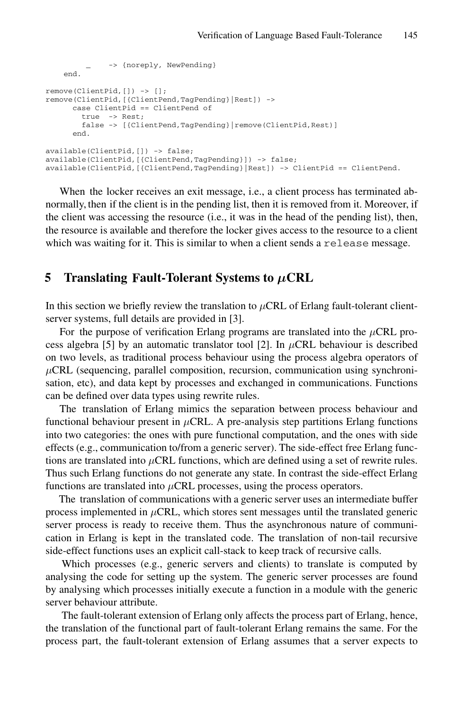```
-> {noreply, NewPending}
    end.
remove(ClientPid,[]) -> [];
remove(ClientPid,[{ClientPend,TagPending}|Rest]) ->
      case ClientPid == ClientPend of
       true -> Rest;
       false -> [{ClientPend,TagPending}|remove(ClientPid,Rest)]
      end.
available(ClientPid,[]) -> false;
available(ClientPid,[{ClientPend,TagPending}]) -> false;
available(ClientPid,[{ClientPend,TagPending}|Rest]) -> ClientPid == ClientPend.
```
When the locker receives an exit message, i.e., a client process has terminated abnormally, then if the client is in the pending list, then it is removed from it. Moreover, if the client was accessing the resource (i.e., it was in the head of the pending list), then, the resource is available and therefore the locker gives access to the resource to a client which was waiting for it. This is similar to when a client sends a release message.

### **5** Translating Fault-Tolerant Systems to  $\mu$ CRL

In this section we briefly review the translation to  $\mu$ CRL of Erlang fault-tolerant clientserver systems, full details are provided in [3].

For the purpose of verification Erlang programs are translated into the  $\mu$ CRL process algebra [5] by an automatic translator tool [2]. In  $\mu$ CRL behaviour is described on two levels, as traditional process behaviour using the process algebra operators of  $\mu$ CRL (sequencing, parallel composition, recursion, communication using synchronisation, etc), and data kept by processes and exchanged in communications. Functions can be defined over data types using rewrite rules.

The translation of Erlang mimics the separation between process behaviour and functional behaviour present in  $\mu$ CRL. A pre-analysis step partitions Erlang functions into two categories: the ones with pure functional computation, and the ones with side effects (e.g., communication to/from a generic server). The side-effect free Erlang functions are translated into  $\mu$ CRL functions, which are defined using a set of rewrite rules. Thus such Erlang functions do not generate any state. In contrast the side-effect Erlang functions are translated into  $\mu$ CRL processes, using the process operators.

The translation of communications with a generic server uses an intermediate buffer process implemented in  $\mu$ CRL, which stores sent messages until the translated generic server process is ready to receive them. Thus the asynchronous nature of communication in Erlang is kept in the translated code. The translation of non-tail recursive side-effect functions uses an explicit call-stack to keep track of recursive calls.

Which processes (e.g., generic servers and clients) to translate is computed by analysing the code for setting up the system. The generic server processes are found by analysing which processes initially execute a function in a module with the generic server behaviour attribute.

The fault-tolerant extension of Erlang only affects the process part of Erlang, hence, the translation of the functional part of fault-tolerant Erlang remains the same. For the process part, the fault-tolerant extension of Erlang assumes that a server expects to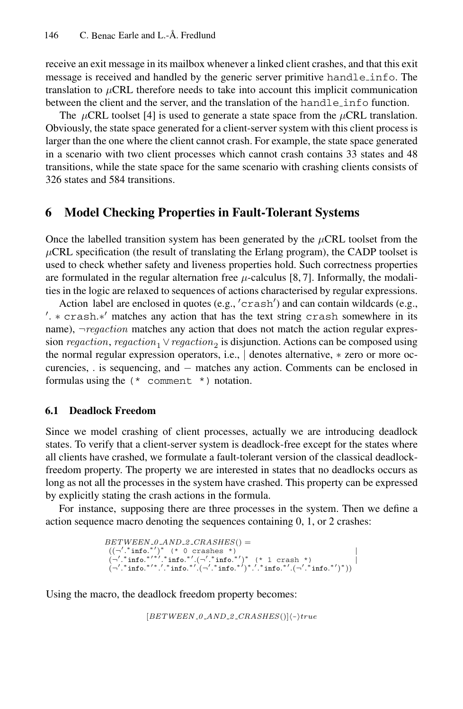receive an exit message in its mailbox whenever a linked client crashes, and that this exit message is received and handled by the generic server primitive handle info. The translation to  $\mu$ CRL therefore needs to take into account this implicit communication between the client and the server, and the translation of the handle info function.

The  $\mu$ CRL toolset [4] is used to generate a state space from the  $\mu$ CRL translation. Obviously, the state space generated for a client-server system with this client process is larger than the one where the client cannot crash. For example, the state space generated in a scenario with two client processes which cannot crash contains 33 states and 48 transitions, while the state space for the same scenario with crashing clients consists of 326 states and 584 transitions.

### **6 Model Checking Properties in Fault-Tolerant Systems**

Once the labelled transition system has been generated by the  $\mu$ CRL toolset from the  $\mu$ CRL specification (the result of translating the Erlang program), the CADP toolset is used to check whether safety and liveness properties hold. Such correctness properties are formulated in the regular alternation free  $\mu$ -calculus [8, 7]. Informally, the modalities in the logic are relaxed to sequences of actions characterised by regular expressions.

Action label are enclosed in quotes (e.g., 'crash') and can contain wildcards (e.g.,  $\alpha'$ .  $*$  crash. $*'$  matches any action that has the text string crash somewhere in its name),  $\neg$ regaction matches any action that does not match the action regular expression regaction, regaction<sub>1</sub> ∨ regaction<sub>2</sub> is disjunction. Actions can be composed using the normal regular expression operators, i.e., | denotes alternative, ∗ zero or more occurencies, . is sequencing, and − matches any action. Comments can be enclosed in formulas using the (\* comment \*) notation.

#### **6.1 Deadlock Freedom**

Since we model crashing of client processes, actually we are introducing deadlock states. To verify that a client-server system is deadlock-free except for the states where all clients have crashed, we formulate a fault-tolerant version of the classical deadlockfreedom property. The property we are interested in states that no deadlocks occurs as long as not all the processes in the system have crashed. This property can be expressed by explicitly stating the crash actions in the formula.

For instance, supposing there are three processes in the system. Then we define a action sequence macro denoting the sequences containing 0, 1, or 2 crashes:

> $BETWEEN_0<sub>-</sub>AND_2<sub>-</sub>CRASHES() =$  $((\neg'.^*info.^*)^*$  (\* 0 crashes \*)<br>(¬' \*info \*'\*' \*info \*' (¬' \*info \*')\* (\* 1 crash \*)  $(\neg'.^*info.*'^*.^*info.*'.(\neg'.^info.*')^* ( * 1 \text{ crash} *) )$  $(\neg'.*info.*''*.'.*info.*'.(\neg'.*info.*')*.'.*info.*'.(*info.*'.(\neg'.*info.*'))$

Using the macro, the deadlock freedom property becomes:

 $[BETWEEN_0_{AND_2_{CRASHES()}] \langle \text{-} \rangle true$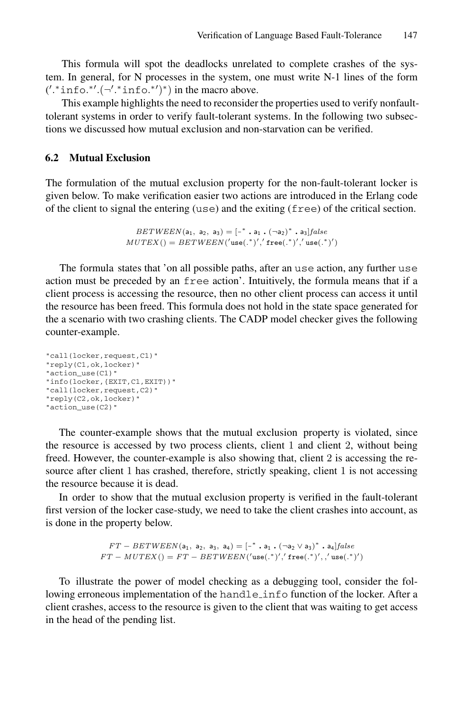This formula will spot the deadlocks unrelated to complete crashes of the system. In general, for N processes in the system, one must write N-1 lines of the form  $('.*info.*'.(\neg '.*info.*')*)$  in the macro above.

This example highlights the need to reconsider the properties used to verify nonfaulttolerant systems in order to verify fault-tolerant systems. In the following two subsections we discussed how mutual exclusion and non-starvation can be verified.

#### **6.2 Mutual Exclusion**

The formulation of the mutual exclusion property for the non-fault-tolerant locker is given below. To make verification easier two actions are introduced in the Erlang code of the client to signal the entering (use) and the exiting (free) of the critical section.

```
BETWEEN(a_1, a_2, a_3)=[</mark>^* \cdot a_1 \cdot (\neg a_2)^* \cdot a_3] falseMUTEX() = BETWEEN('use(.^*)','free(.^*)','use(.^*)')
```
The formula states that 'on all possible paths, after an use action, any further use action must be preceded by an free action'. Intuitively, the formula means that if a client process is accessing the resource, then no other client process can access it until the resource has been freed. This formula does not hold in the state space generated for the a scenario with two crashing clients. The CADP model checker gives the following counter-example.

```
"call(locker,request,C1)"
"reply(C1,ok,locker)"
"action_use(C1)"
"info(locker,{EXIT,C1,EXIT))"
"call(locker, request, C2)"
"reply(C2,ok,locker)"
"action_use(C2)"
```
The counter-example shows that the mutual exclusion property is violated, since the resource is accessed by two process clients, client 1 and client 2, without being freed. However, the counter-example is also showing that, client 2 is accessing the resource after client 1 has crashed, therefore, strictly speaking, client 1 is not accessing the resource because it is dead.

In order to show that the mutual exclusion property is verified in the fault-tolerant first version of the locker case-study, we need to take the client crashes into account, as is done in the property below.

```
FT - BETWEEN(a<sub>1</sub>, a<sub>2</sub>, a<sub>3</sub>, a<sub>4</sub>) = [-<sup>*</sup> a<sub>1</sub> . (\neg a<sub>2</sub> \vee a<sub>3</sub>)<sup>*</sup> a<sub>4</sub>] falseFT - MUTEX() = FT - BETWEEN('use(.*)','free(.*)',', 'use(.*)')
```
To illustrate the power of model checking as a debugging tool, consider the following erroneous implementation of the handle info function of the locker. After a client crashes, access to the resource is given to the client that was waiting to get access in the head of the pending list.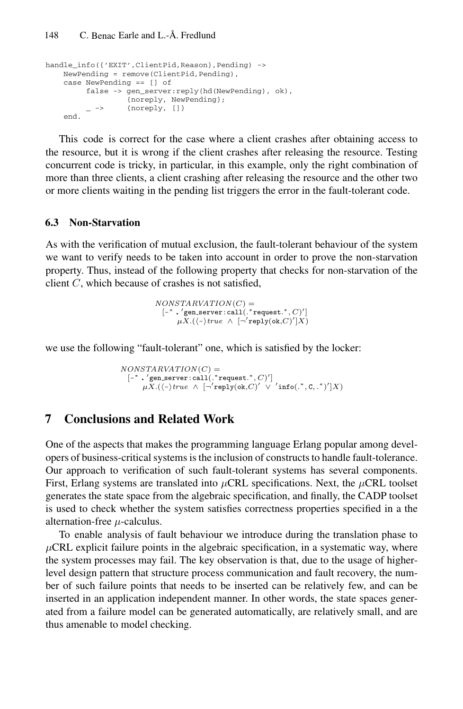```
handle_info({'EXIT',ClientPid,Reason},Pending) ->
   NewPending = remove(ClientPid, Pending),
    case NewPending == [] of
        false -> gen_server:reply(hd(NewPending), ok),
                  {noreply, NewPending};
        \angle -> {noreply, []}
    end.
```
This code is correct for the case where a client crashes after obtaining access to the resource, but it is wrong if the client crashes after releasing the resource. Testing concurrent code is tricky, in particular, in this example, only the right combination of more than three clients, a client crashing after releasing the resource and the other two or more clients waiting in the pending list triggers the error in the fault-tolerant code.

#### **6.3** Non-Starvation

As with the verification of mutual exclusion, the fault-tolerant behaviour of the system we want to verify needs to be taken into account in order to prove the non-starvation property. Thus, instead of the following property that checks for non-starvation of the client  $C$ , which because of crashes is not satisfied,

> $NONSTARVATION (C) =$ [-<sup>∗</sup> . gen server:call(. ∗request. ∗, C) ]  $\mu X. (\langle \text{-}\rangle true \ \land \ [\text{-}'\text{reply}(\text{ok}, C)']X)$

we use the following "fault-tolerant" one, which is satisfied by the locker:

 $NONSTARVATION (C) =$  $[-^* \cdot 'gen_server:call(.*request.*, C)']$  $\mu X.(\langle \text{-}\rangle true \ \land \ [\text{-}'\text{reply}(\text{ok}, C)' \ \lor \ \text{'info}(.^*, C, .^*)']X)$ 

# **7 Conclusions and Related Work**

One of the aspects that makes the programming language Erlang popular among developers of business-critical systems is the inclusion of constructs to handle fault-tolerance. Our approach to verification of such fault-tolerant systems has several components. First, Erlang systems are translated into  $\mu$ CRL specifications. Next, the  $\mu$ CRL toolset generates the state space from the algebraic specification, and finally, the CADP toolset is used to check whether the system satisfies correctness properties specified in a the alternation-free  $\mu$ -calculus.

To enable analysis of fault behaviour we introduce during the translation phase to  $\mu$ CRL explicit failure points in the algebraic specification, in a systematic way, where the system processes may fail. The key observation is that, due to the usage of higherlevel design pattern that structure process communication and fault recovery, the number of such failure points that needs to be inserted can be relatively few, and can be inserted in an application independent manner. In other words, the state spaces generated from a failure model can be generated automatically, are relatively small, and are thus amenable to model checking.